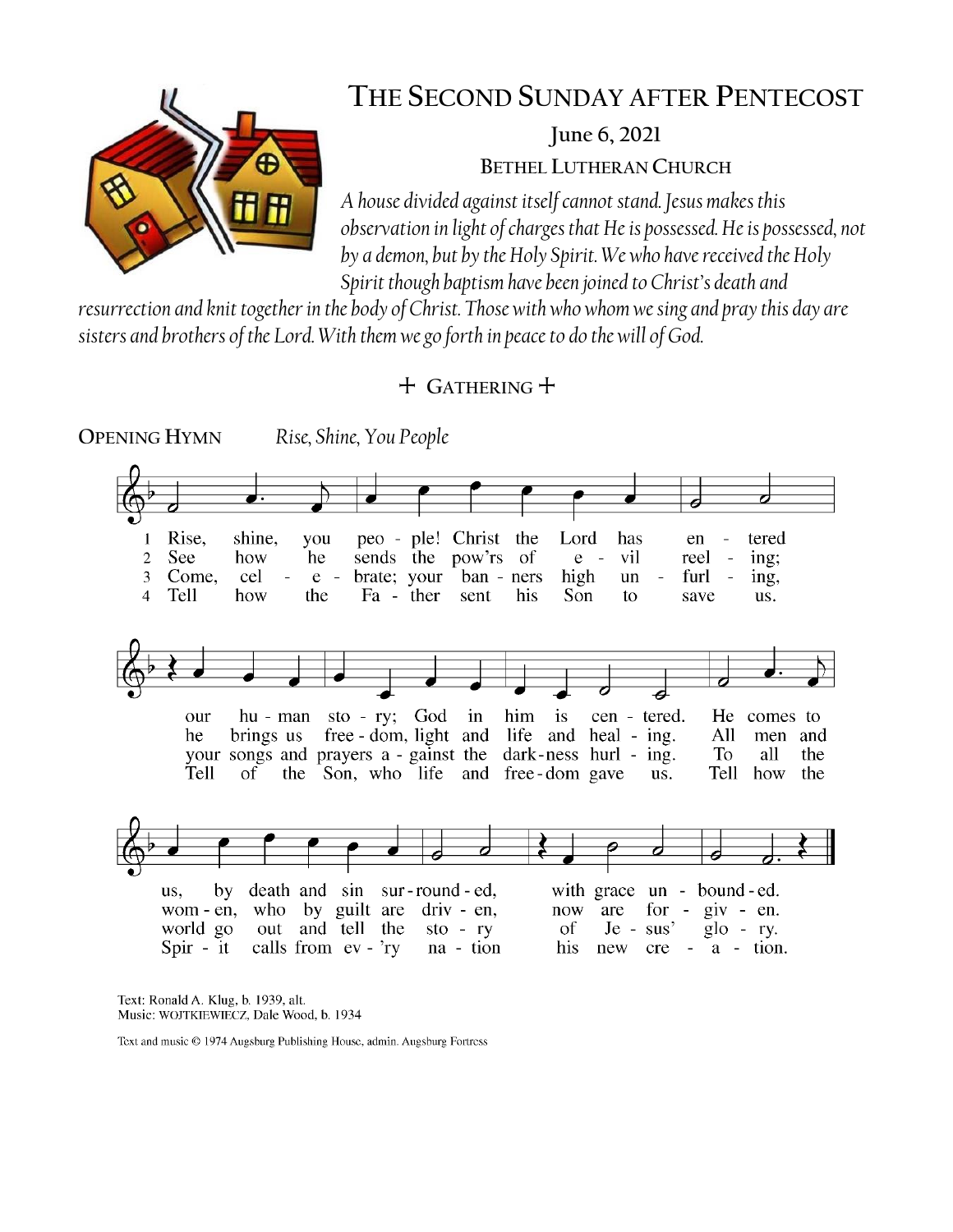

# **THE SECOND SUNDAY AFTER PENTECOST**

**June 6, 2021**

**BETHEL LUTHERAN CHURCH**

*A house divided against itself cannot stand. Jesus makes this observation in light of charges that He is possessed. He is possessed, not by a demon, but by the Holy Spirit. We who have received the Holy Spirit though baptism have been joined to Christ's death and* 

*resurrection and knit together in the body of Christ. Those with who whom we sing and pray this day are sisters and brothers of the Lord. With them we go forth in peace to do the will of God.*

# + **GATHERING** +



Text: Ronald A. Klug, b. 1939, alt. Music: WOJTKIEWIECZ, Dale Wood, b. 1934

Text and music © 1974 Augsburg Publishing House, admin. Augsburg Fortress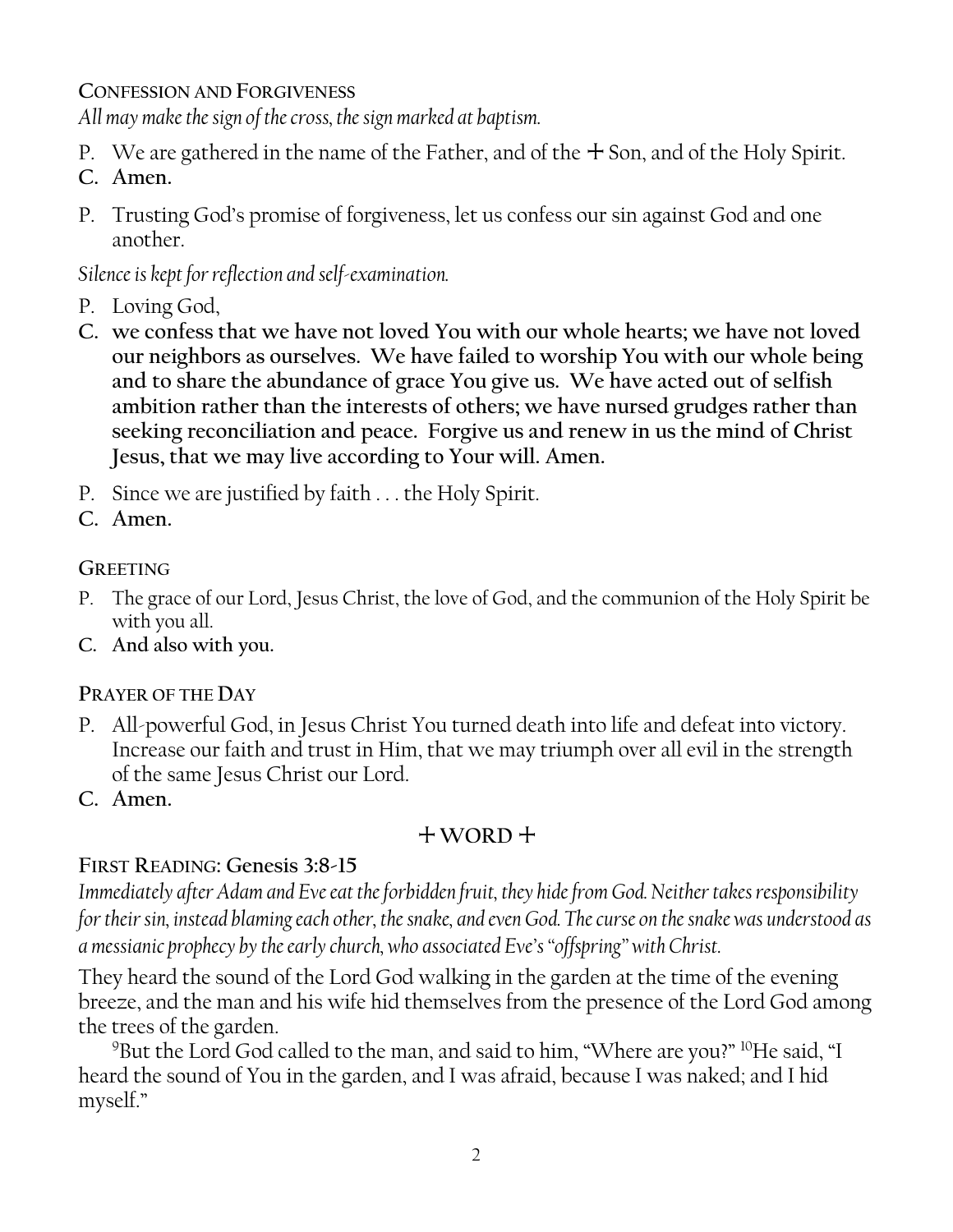**CONFESSION AND FORGIVENESS**

*All may make the sign of the cross, the sign marked at baptism.*

- P. We are gathered in the name of the Father, and of the  $+$  Son, and of the Holy Spirit.
- **C. Amen.**
- P. Trusting God's promise of forgiveness, let us confess our sin against God and one another.

*Silence is kept for reflection and self-examination.*

- P. Loving God,
- **C. we confess that we have not loved You with our whole hearts; we have not loved our neighbors as ourselves. We have failed to worship You with our whole being and to share the abundance of grace You give us. We have acted out of selfish ambition rather than the interests of others; we have nursed grudges rather than seeking reconciliation and peace. Forgive us and renew in us the mind of Christ Jesus, that we may live according to Your will. Amen.**
- P. Since we are justified by faith . . . the Holy Spirit.
- **C. Amen.**

# **GREETING**

- P. The grace of our Lord, Jesus Christ, the love of God, and the communion of the Holy Spirit be with you all.
- **C. And also with you.**

### **PRAYER OF THE DAY**

- P. All-powerful God, in Jesus Christ You turned death into life and defeat into victory. Increase our faith and trust in Him, that we may triumph over all evil in the strength of the same Jesus Christ our Lord.
- **C. Amen.**

# $+$  WORD  $+$

# **FIRST READING: Genesis 3:8-15**

*Immediately after Adam and Eve eat the forbidden fruit, they hide from God. Neither takes responsibility for their sin, instead blaming each other, the snake, and even God. The curse on the snake was understood as a messianic prophecy by the early church, who associated Eve's "offspring" with Christ.* 

They heard the sound of the Lord God walking in the garden at the time of the evening breeze, and the man and his wife hid themselves from the presence of the Lord God among the trees of the garden.

<sup>9</sup>But the Lord God called to the man, and said to him, "Where are you?" <sup>10</sup>He said, "I heard the sound of You in the garden, and I was afraid, because I was naked; and I hid myself."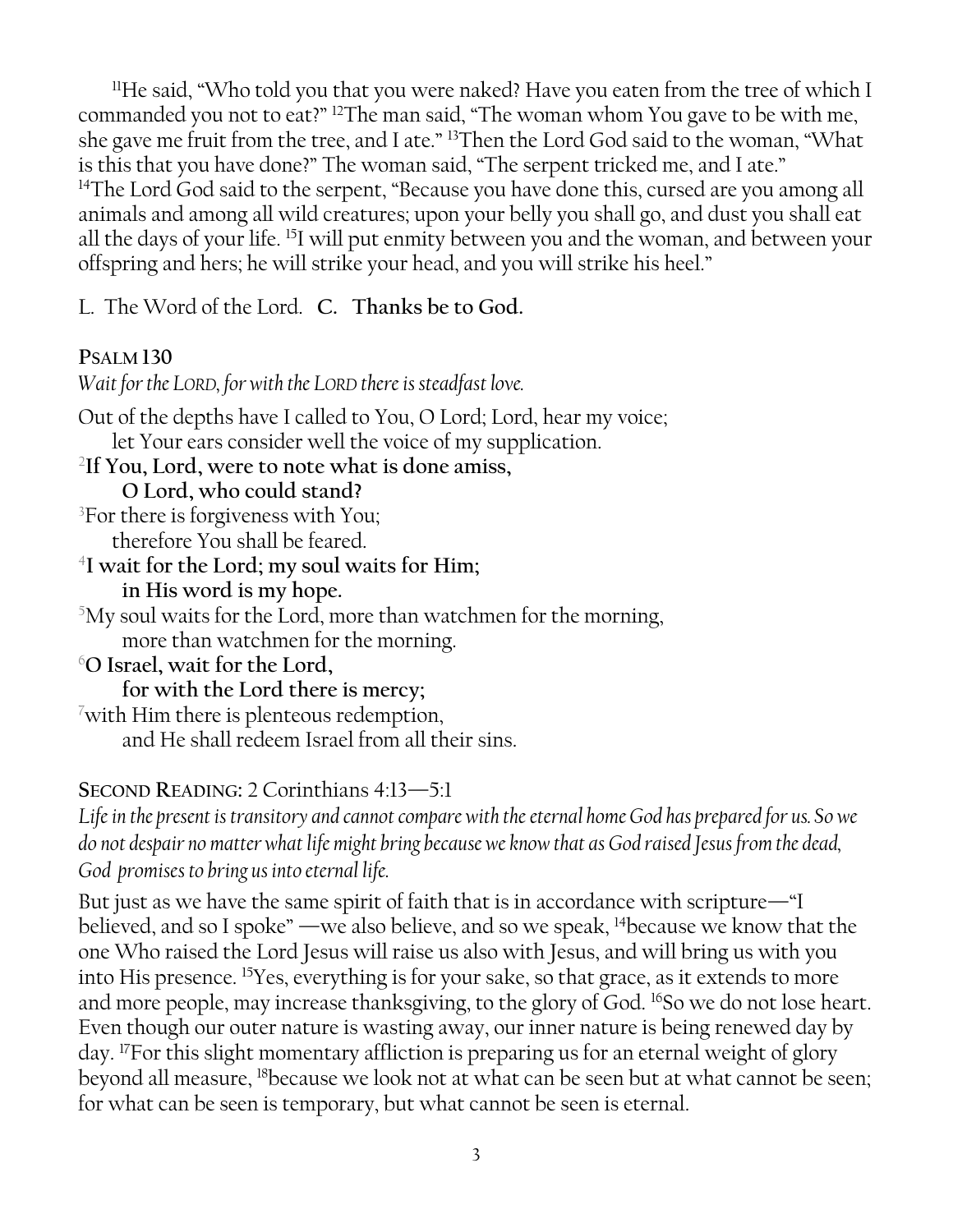<sup>11</sup>He said, "Who told you that you were naked? Have you eaten from the tree of which I commanded you not to eat?" <sup>12</sup>The man said, "The woman whom You gave to be with me, she gave me fruit from the tree, and I ate." <sup>13</sup>Then the Lord God said to the woman, "What is this that you have done?" The woman said, "The serpent tricked me, and I ate." <sup>14</sup>The Lord God said to the serpent, "Because you have done this, cursed are you among all animals and among all wild creatures; upon your belly you shall go, and dust you shall eat all the days of your life. <sup>15</sup>I will put enmity between you and the woman, and between your offspring and hers; he will strike your head, and you will strike his heel."

L. The Word of the Lord. **C. Thanks be to God.**

### **PSALM 130**

*Wait for the LORD, for with the LORD there is steadfast love.* Out of the depths have I called to You, O Lord; Lord, hear my voice; let Your ears consider well the voice of my supplication. 2 **If You, Lord, were to note what is done amiss, O Lord, who could stand?**  ${}^{3}$ For there is forgiveness with You; therefore You shall be feared. 4 **I wait for the Lord; my soul waits for Him; in His word is my hope.**  $5$ My soul waits for the Lord, more than watchmen for the morning, more than watchmen for the morning. <sup>6</sup>**O Israel, wait for the Lord, for with the Lord there is mercy;**  $\sqrt{7}$ with Him there is plenteous redemption, and He shall redeem Israel from all their sins. **SECOND READING:** 2 Corinthians 4:13—5:1

*Life in the present is transitory and cannot compare with the eternal home God has prepared for us. So we do not despair no matter what life might bring because we know that as God raised Jesus from the dead, God promises to bring us into eternal life.*

But just as we have the same spirit of faith that is in accordance with scripture—"I believed, and so I spoke" —we also believe, and so we speak, <sup>14</sup>because we know that the one Who raised the Lord Jesus will raise us also with Jesus, and will bring us with you into His presence. <sup>15</sup>Yes, everything is for your sake, so that grace, as it extends to more and more people, may increase thanksgiving, to the glory of God. <sup>16</sup>So we do not lose heart. Even though our outer nature is wasting away, our inner nature is being renewed day by day. <sup>17</sup>For this slight momentary affliction is preparing us for an eternal weight of glory beyond all measure, <sup>18</sup>because we look not at what can be seen but at what cannot be seen; for what can be seen is temporary, but what cannot be seen is eternal.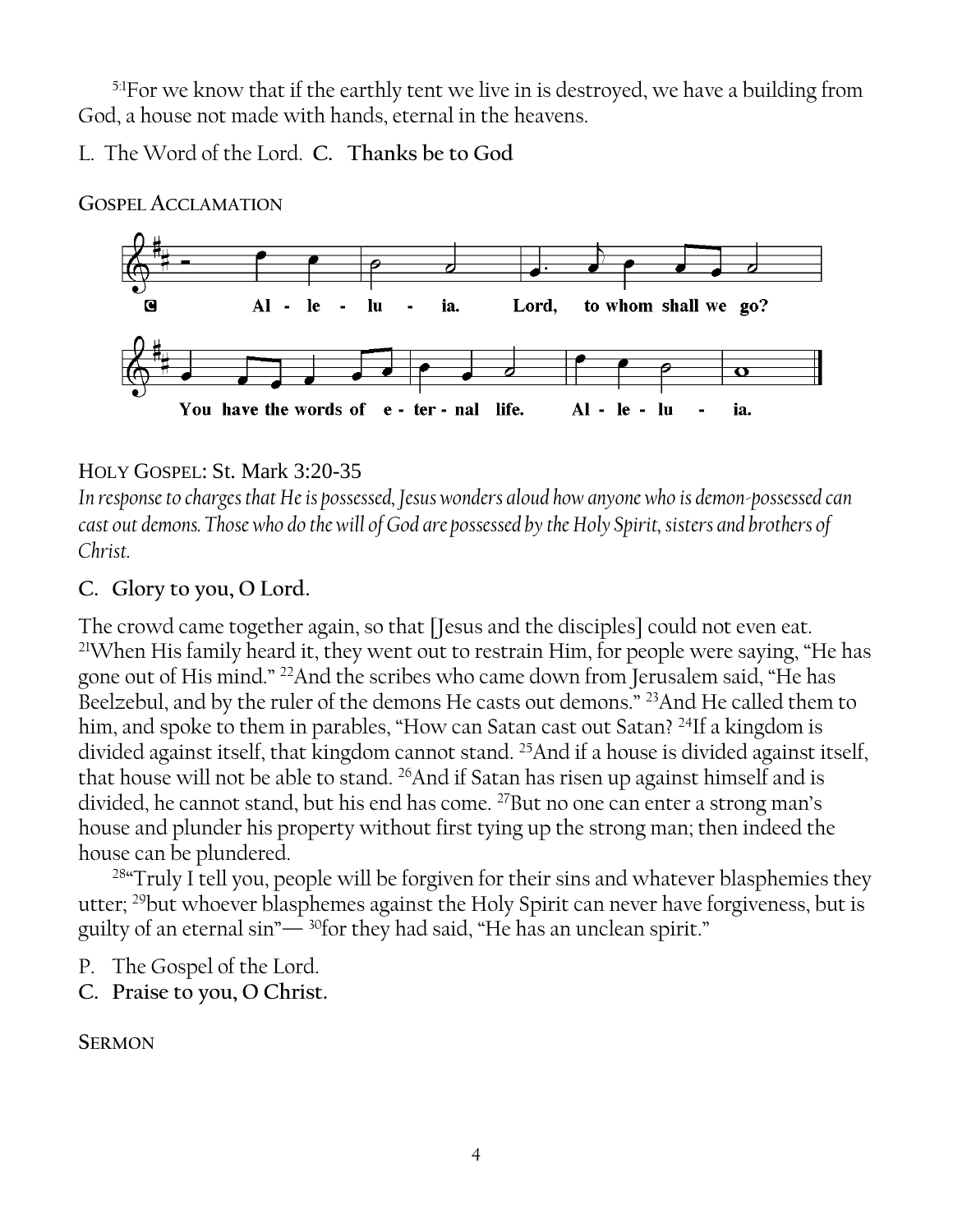<sup>5:1</sup>For we know that if the earthly tent we live in is destroyed, we have a building from God, a house not made with hands, eternal in the heavens.

L. The Word of the Lord. **C. Thanks be to God**



**GOSPEL ACCLAMATION**

### HOLY GOSPEL: St. Mark 3:20-35

*In response to charges that He is possessed, Jesus wonders aloud how anyone who is demon-possessed can cast out demons. Those who do the will of God are possessed by the Holy Spirit, sisters and brothers of Christ.*

### **C. Glory to you, O Lord.**

The crowd came together again, so that [Jesus and the disciples] could not even eat. <sup>21</sup>When His family heard it, they went out to restrain Him, for people were saying, "He has gone out of His mind." <sup>22</sup>And the scribes who came down from Jerusalem said, "He has Beelzebul, and by the ruler of the demons He casts out demons." <sup>23</sup>And He called them to him, and spoke to them in parables, "How can Satan cast out Satan? <sup>24</sup>If a kingdom is divided against itself, that kingdom cannot stand. <sup>25</sup>And if a house is divided against itself, that house will not be able to stand. <sup>26</sup>And if Satan has risen up against himself and is divided, he cannot stand, but his end has come. <sup>27</sup>But no one can enter a strong man's house and plunder his property without first tying up the strong man; then indeed the house can be plundered.

<sup>28</sup>"Truly I tell you, people will be forgiven for their sins and whatever blasphemies they utter; <sup>29</sup>but whoever blasphemes against the Holy Spirit can never have forgiveness, but is guilty of an eternal sin"— <sup>30</sup>for they had said, "He has an unclean spirit."

- P. The Gospel of the Lord.
- **C. Praise to you, O Christ.**

### **SERMON**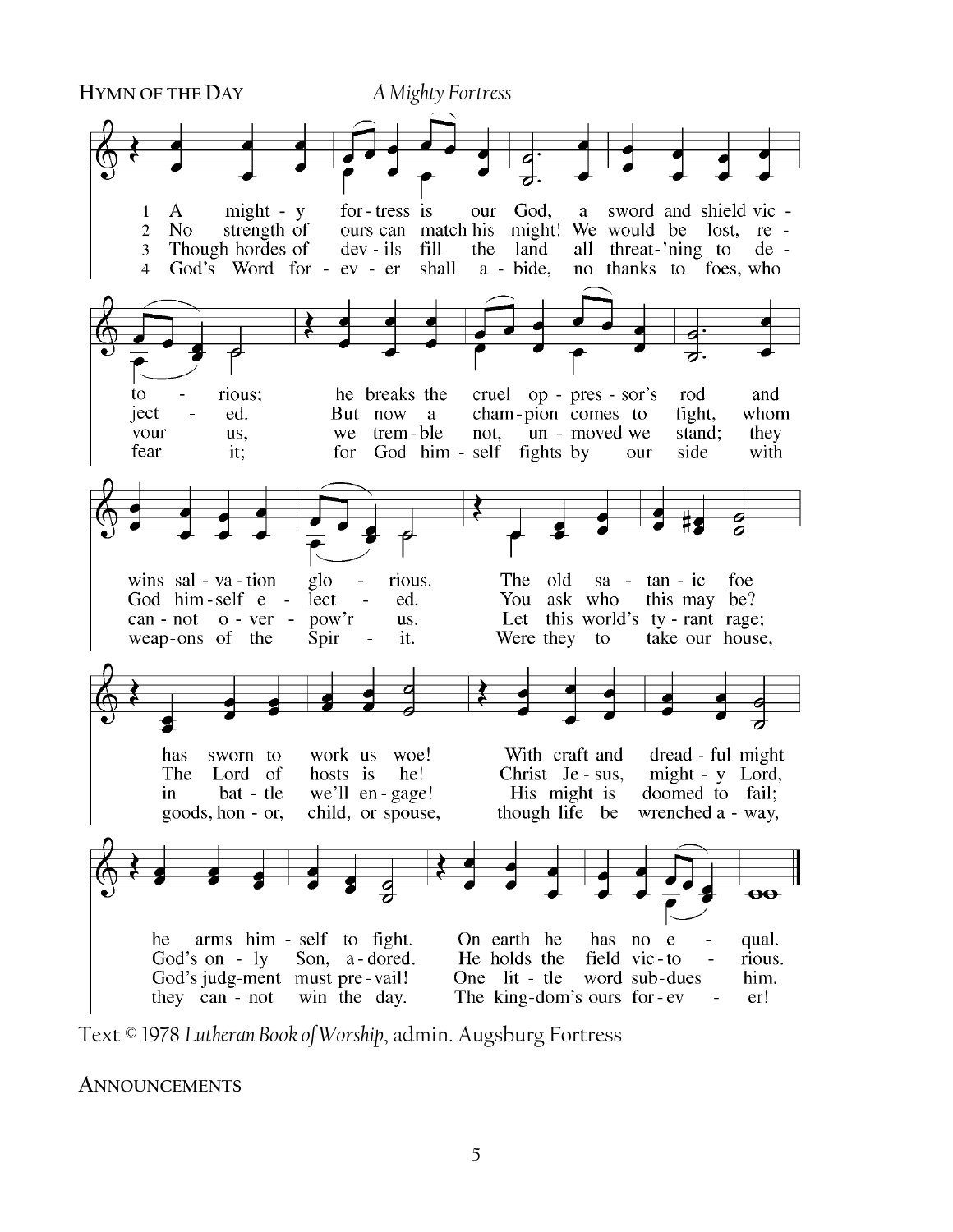

Text © 1978 *Lutheran Book of Worship*, admin. Augsburg Fortress

**ANNOUNCEMENTS**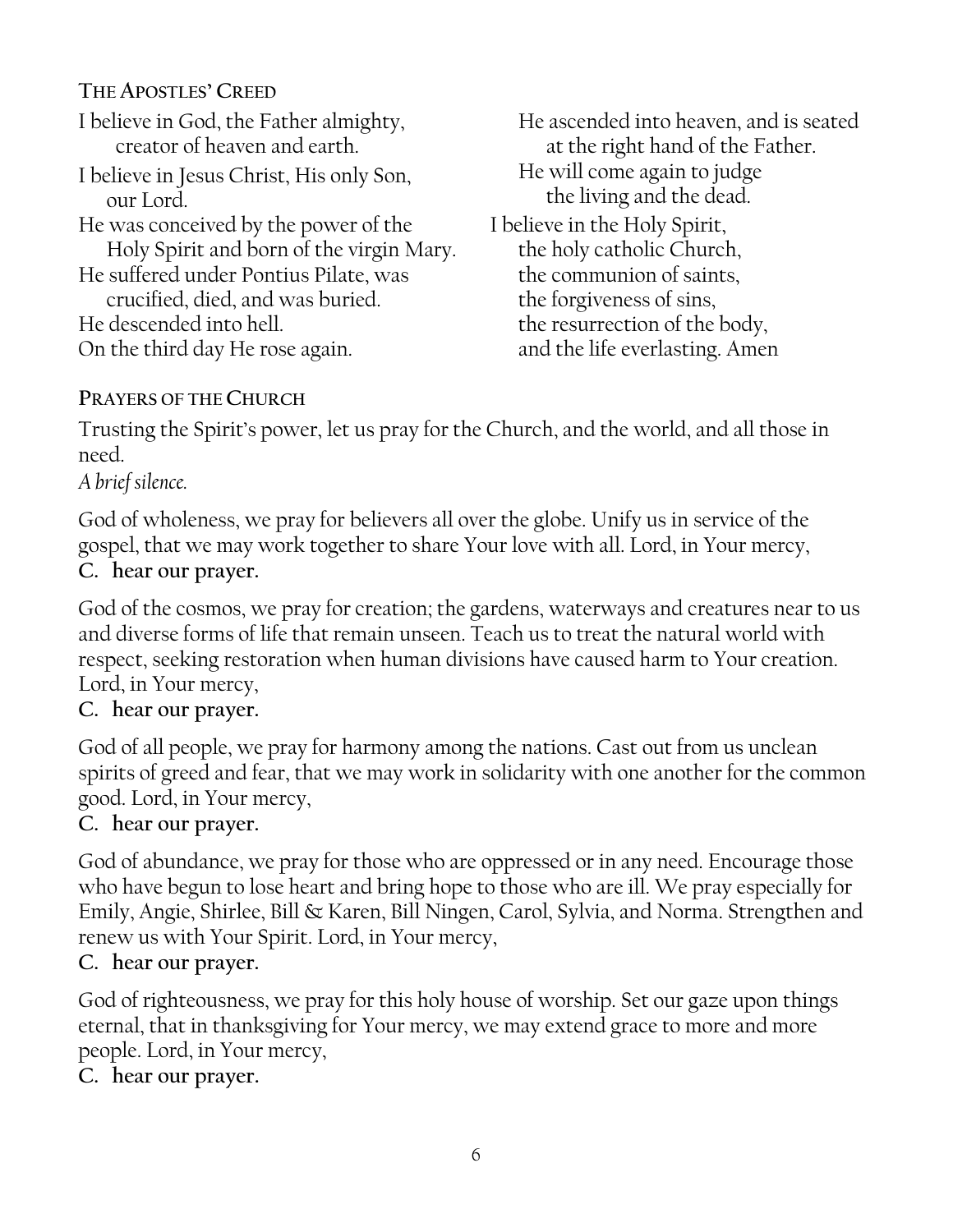**THE APOSTLES' CREED** I believe in God, the Father almighty, creator of heaven and earth. I believe in Jesus Christ, His only Son, our Lord. He was conceived by the power of the Holy Spirit and born of the virgin Mary. He suffered under Pontius Pilate, was crucified, died, and was buried. He descended into hell. On the third day He rose again.

He ascended into heaven, and is seated at the right hand of the Father. He will come again to judge the living and the dead. I believe in the Holy Spirit, the holy catholic Church, the communion of saints, the forgiveness of sins, the resurrection of the body, and the life everlasting. Amen

# **PRAYERS OF THE CHURCH**

Trusting the Spirit's power, let us pray for the Church, and the world, and all those in need.

# *A brief silence.*

God of wholeness, we pray for believers all over the globe. Unify us in service of the gospel, that we may work together to share Your love with all. Lord, in Your mercy, **C. hear our prayer.**

God of the cosmos, we pray for creation; the gardens, waterways and creatures near to us and diverse forms of life that remain unseen. Teach us to treat the natural world with respect, seeking restoration when human divisions have caused harm to Your creation. Lord, in Your mercy,

# **C. hear our prayer.**

God of all people, we pray for harmony among the nations. Cast out from us unclean spirits of greed and fear, that we may work in solidarity with one another for the common good. Lord, in Your mercy,

# **C. hear our prayer.**

God of abundance, we pray for those who are oppressed or in any need. Encourage those who have begun to lose heart and bring hope to those who are ill. We pray especially for Emily, Angie, Shirlee, Bill & Karen, Bill Ningen, Carol, Sylvia, and Norma. Strengthen and renew us with Your Spirit. Lord, in Your mercy,

### **C. hear our prayer.**

God of righteousness, we pray for this holy house of worship. Set our gaze upon things eternal, that in thanksgiving for Your mercy, we may extend grace to more and more people. Lord, in Your mercy,

**C. hear our prayer.**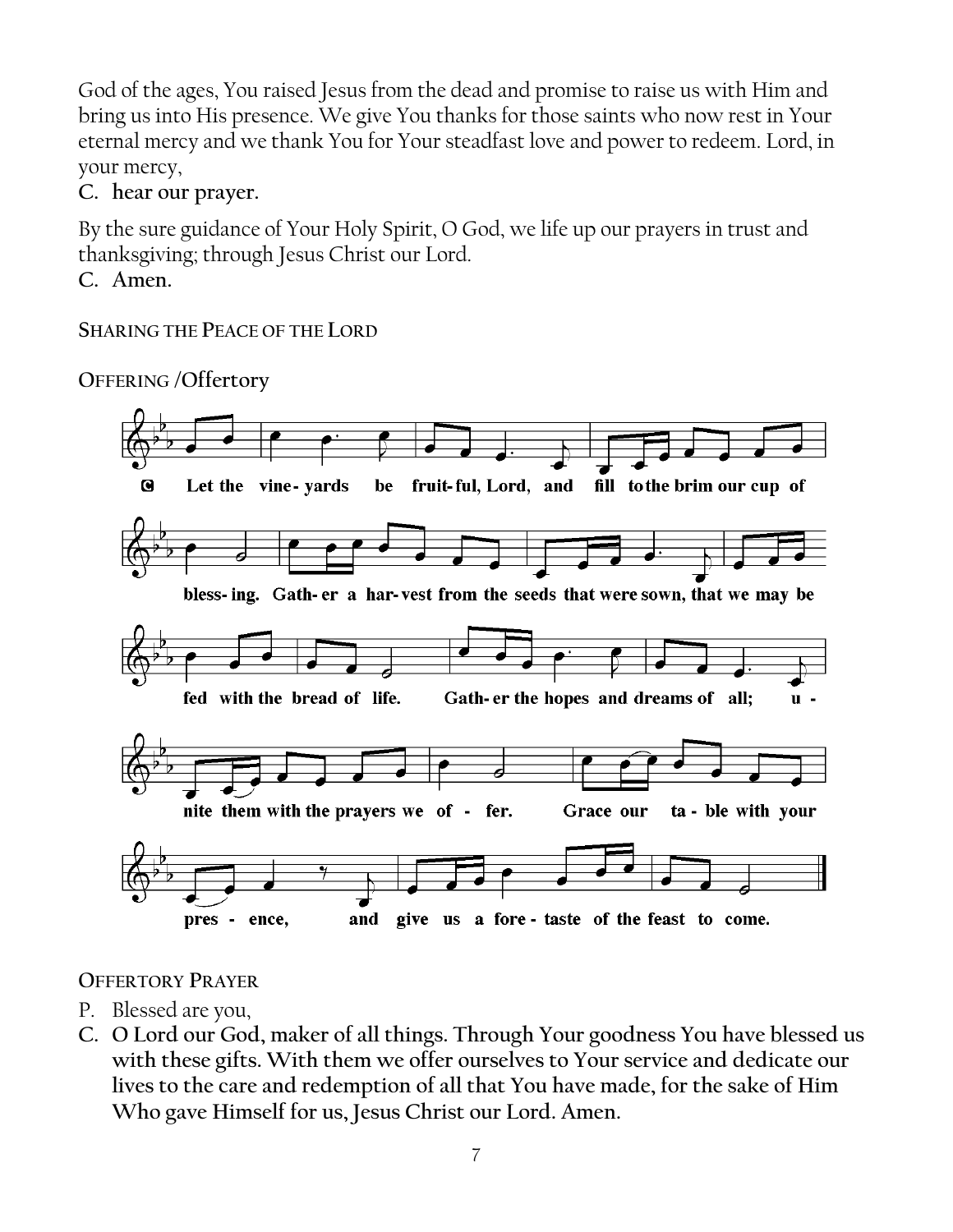God of the ages, You raised Jesus from the dead and promise to raise us with Him and bring us into His presence. We give You thanks for those saints who now rest in Your eternal mercy and we thank You for Your steadfast love and power to redeem. Lord, in your mercy,

**C. hear our prayer.**

By the sure guidance of Your Holy Spirit, O God, we life up our prayers in trust and thanksgiving; through Jesus Christ our Lord.

**C. Amen.**

**SHARING THE PEACE OF THE LORD**

**OFFERING /Offertory**



**OFFERTORY PRAYER**

- P. Blessed are you,
- **C. O Lord our God, maker of all things. Through Your goodness You have blessed us with these gifts. With them we offer ourselves to Your service and dedicate our lives to the care and redemption of all that You have made, for the sake of Him Who gave Himself for us, Jesus Christ our Lord. Amen.**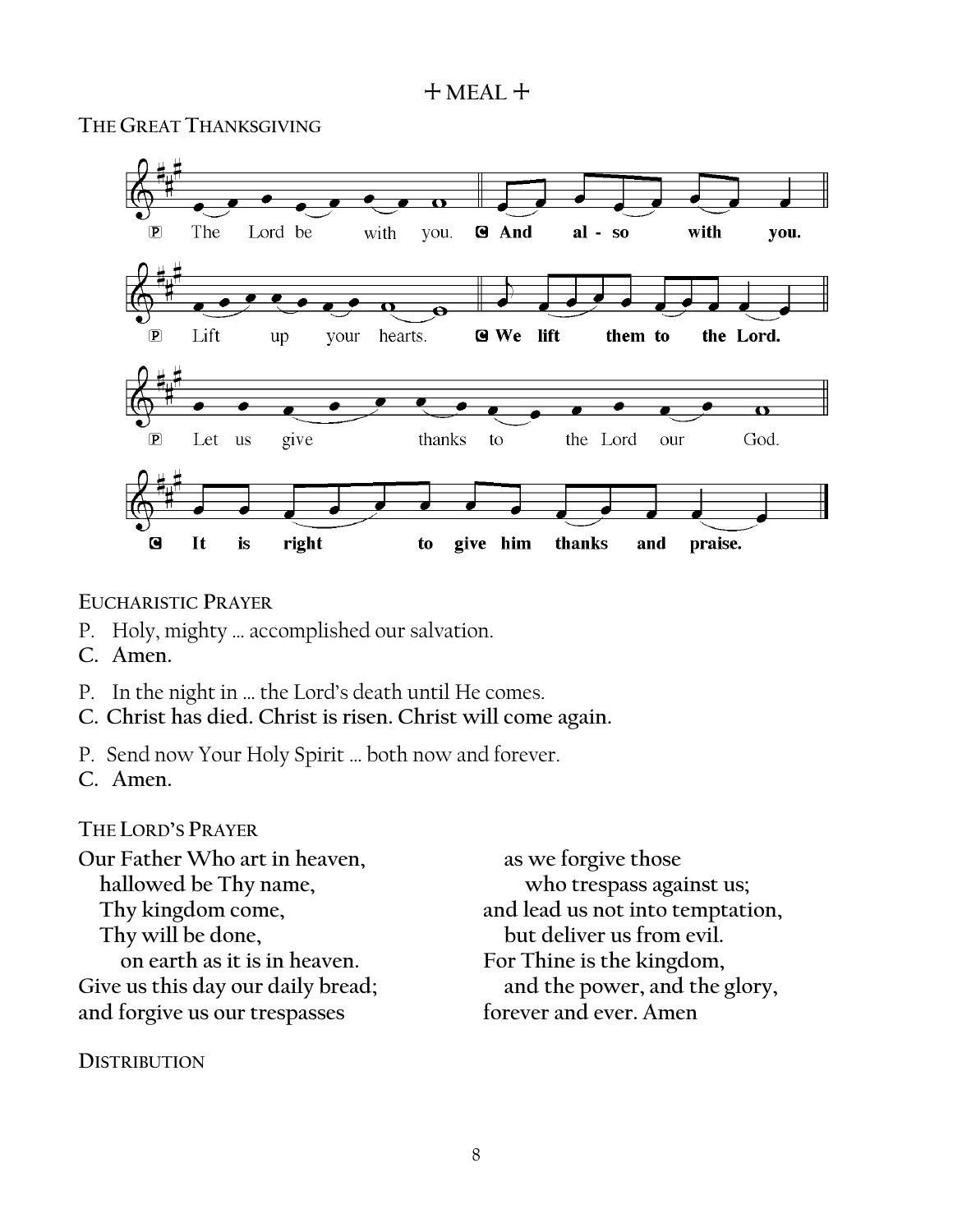#### + **MEAL** +

**THE GREAT THANKSGIVING**



**EUCHARISTIC PRAYER**

- P. Holy, mighty … accomplished our salvation.
- **C. Amen.**
- P. In the night in … the Lord's death until He comes.
- **C. Christ has died. Christ is risen. Christ will come again.**
- P. Send now Your Holy Spirit … both now and forever.
- **C. Amen.**

#### **THE LORD'S PRAYER**

**Our Father Who art in heaven, hallowed be Thy name, Thy kingdom come, Thy will be done, on earth as it is in heaven. Give us this day our daily bread; and forgive us our trespasses**

**DISTRIBUTION**

**as we forgive those who trespass against us; and lead us not into temptation, but deliver us from evil. For Thine is the kingdom, and the power, and the glory, forever and ever. Amen**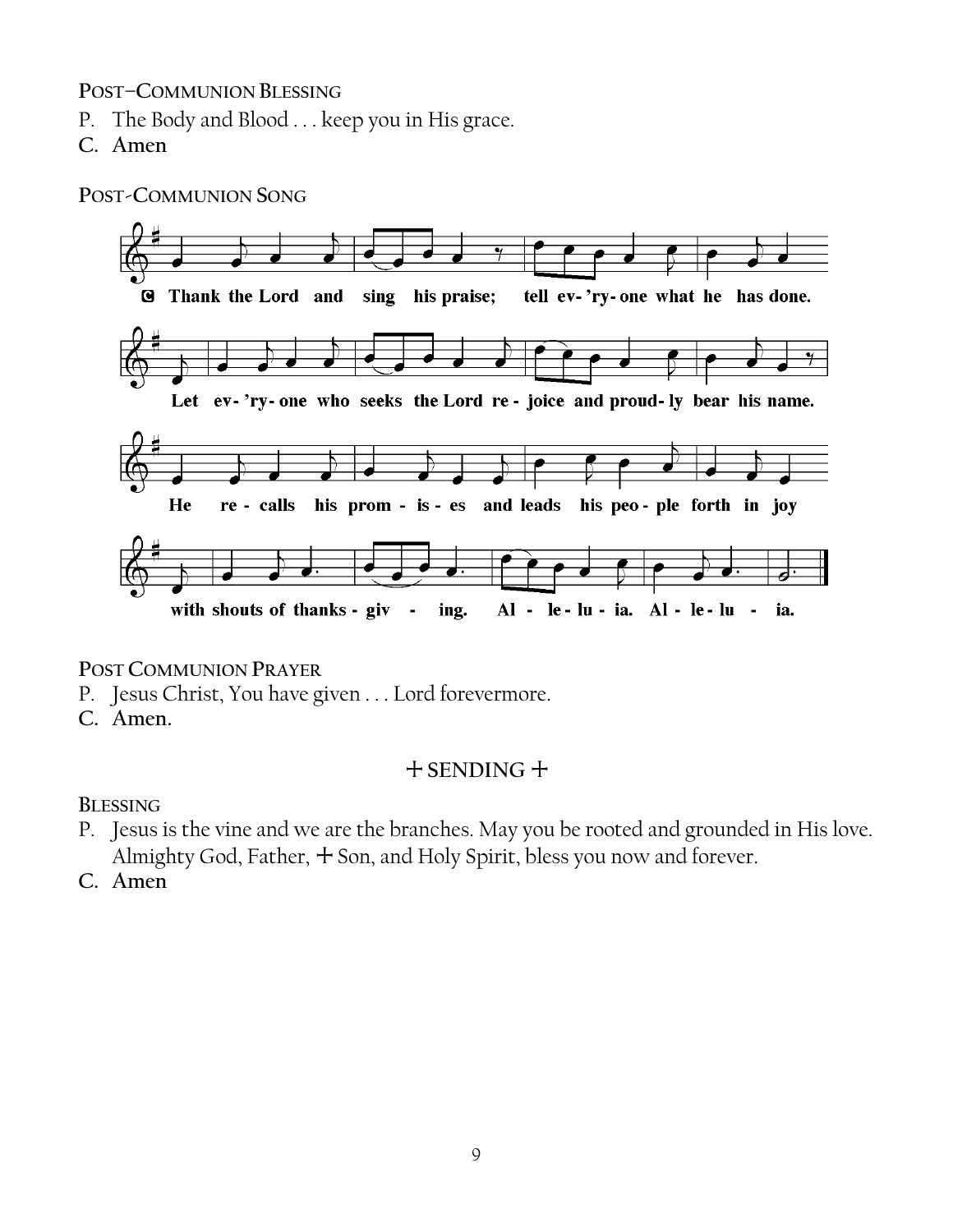#### **POST–COMMUNION BLESSING**

- P. The Body and Blood . . . keep you in His grace.
- **C. Amen**

**POST-COMMUNION SONG**



**POST COMMUNION PRAYER**

- P. Jesus Christ, You have given . . . Lord forevermore.
- **C. Amen.**

# + **SENDING** +

**BLESSING**

- P. Jesus is the vine and we are the branches. May you be rooted and grounded in His love. Almighty God, Father,  $+$  Son, and Holy Spirit, bless you now and forever.
- **C. Amen**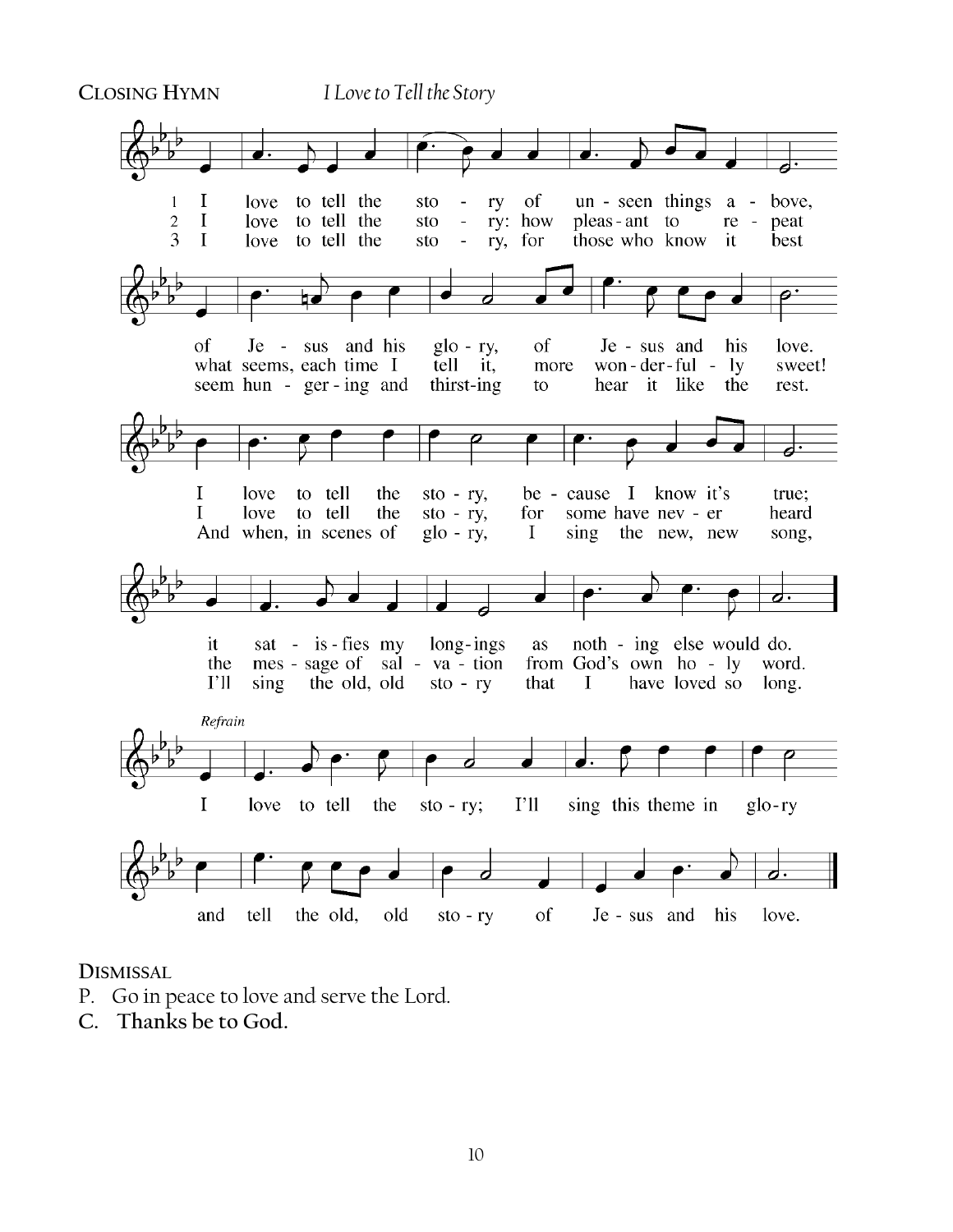

#### **DISMISSAL**

- P. Go in peace to love and serve the Lord.
- **C. Thanks be to God.**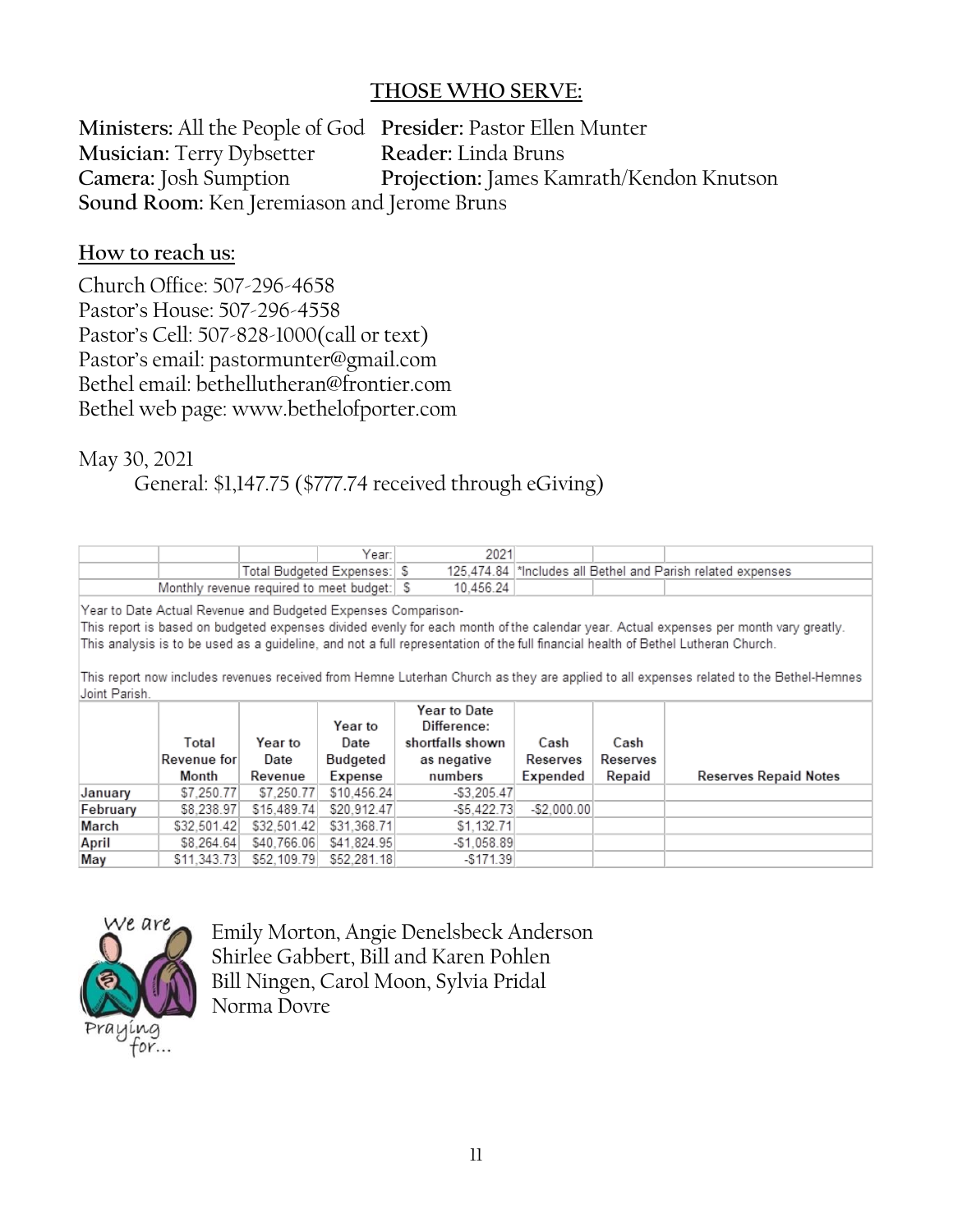#### **THOSE WHO SERVE:**

**Ministers:** All the People of God **Presider:** Pastor Ellen Munter **Musician:** Terry Dybsetter **Reader:** Linda Bruns **Camera:** Josh Sumption **Projection:** James Kamrath/Kendon Knutson **Sound Room:** Ken Jeremiason and Jerome Bruns

#### **How to reach us:**

Church Office: 507-296-4658 Pastor's House: 507-296-4558 Pastor's Cell: 507-828-1000(call or text) Pastor's email: pastormunter@gmail.com Bethel email: bethellutheran@frontier.com Bethel web page: www.bethelofporter.com

May 30, 2021

General: \$1,147.75 (\$777.74 received through eGiving)

|                                            |  | Year:                      |  | 2021      |                                                              |  |  |
|--------------------------------------------|--|----------------------------|--|-----------|--------------------------------------------------------------|--|--|
|                                            |  | Total Budgeted Expenses: S |  |           | 125.474.84  *Includes all Bethel and Parish related expenses |  |  |
| Monthly revenue required to meet budget: S |  |                            |  | 10.456.24 |                                                              |  |  |

Year to Date Actual Revenue and Budgeted Expenses Comparison-

This report is based on budgeted expenses divided evenly for each month of the calendar year. Actual expenses per month vary greatly. This analysis is to be used as a guideline, and not a full representation of the full financial health of Bethel Lutheran Church.

This report now includes revenues received from Hemne Luterhan Church as they are applied to all expenses related to the Bethel-Hemnes Joint Parish.

|          | Total<br>Revenue for<br>Month | Year to<br>Date<br>Revenue | Year to<br>Date<br>Budgeted<br>Expense | Year to Date<br>Difference:<br>shortfalls shown<br>as negative<br>numbers | Cash<br>Reserves<br>Expended | Cash<br>Reserves<br>Repaid | <b>Reserves Repaid Notes</b> |
|----------|-------------------------------|----------------------------|----------------------------------------|---------------------------------------------------------------------------|------------------------------|----------------------------|------------------------------|
| January  | \$7,250.77                    | \$7,250.77                 | \$10,456.24                            | $-$ \$3,205.47                                                            |                              |                            |                              |
| February | \$8,238.97                    | \$15,489.74                | \$20.912.47                            | $-$5.422.73$                                                              | $-$ \$2.000.00               |                            |                              |
| March    | \$32,501.42                   | \$32,501.42                | \$31,368.71                            | \$1,132.71                                                                |                              |                            |                              |
| April    | \$8.264.64                    | \$40,766.06                | \$41.824.95                            | $-$1,058.89$                                                              |                              |                            |                              |
| May      | \$11.343.73                   | \$52,109.79                | \$52,281.18                            | $-$171.39$                                                                |                              |                            |                              |



Emily Morton, Angie Denelsbeck Anderson Shirlee Gabbert, Bill and Karen Pohlen Bill Ningen, Carol Moon, Sylvia Pridal Norma Dovre